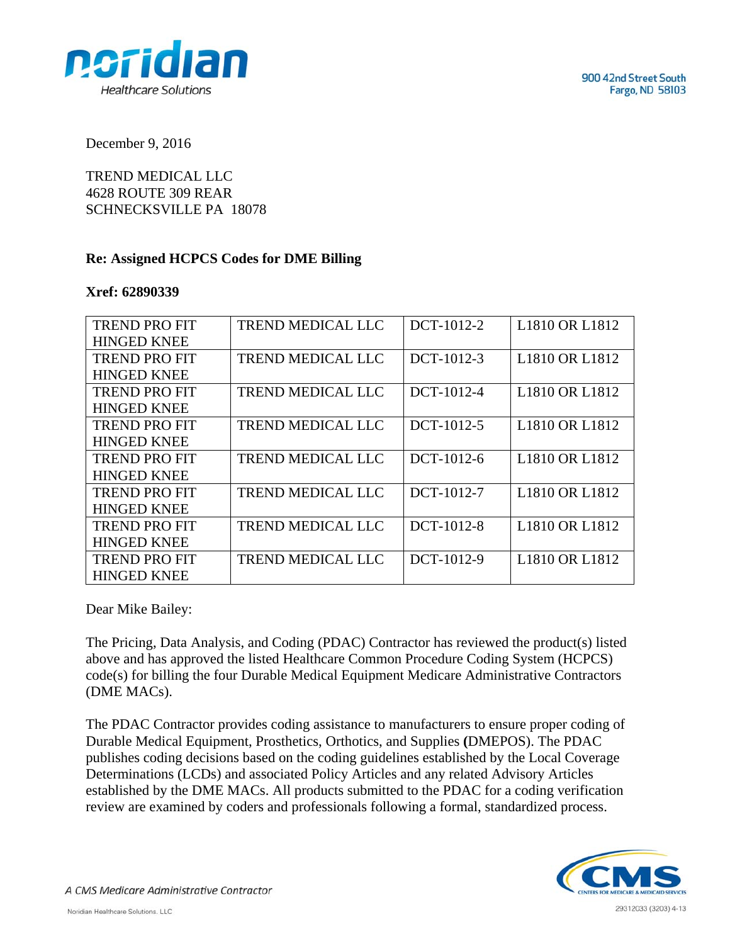

December 9, 2016

TREND MEDICAL LLC 4628 ROUTE 309 REAR SCHNECKSVILLE PA 18078

## **Re: Assigned HCPCS Codes for DME Billing**

## **Xref: 62890339**

| <b>TREND PROFIT</b>  | <b>TREND MEDICAL LLC</b> | DCT-1012-2 | L <sub>1810</sub> OR L <sub>1812</sub> |
|----------------------|--------------------------|------------|----------------------------------------|
| <b>HINGED KNEE</b>   |                          |            |                                        |
| <b>TREND PRO FIT</b> | <b>TREND MEDICAL LLC</b> | DCT-1012-3 | L <sub>1810</sub> OR L <sub>1812</sub> |
| <b>HINGED KNEE</b>   |                          |            |                                        |
| <b>TREND PRO FIT</b> | <b>TREND MEDICAL LLC</b> | DCT-1012-4 | L <sub>1810</sub> OR L <sub>1812</sub> |
| <b>HINGED KNEE</b>   |                          |            |                                        |
| <b>TREND PRO FIT</b> | <b>TREND MEDICAL LLC</b> | DCT-1012-5 | L <sub>1810</sub> OR L <sub>1812</sub> |
| <b>HINGED KNEE</b>   |                          |            |                                        |
| <b>TREND PRO FIT</b> | <b>TREND MEDICAL LLC</b> | DCT-1012-6 | L1810 OR L1812                         |
| <b>HINGED KNEE</b>   |                          |            |                                        |
| <b>TREND PRO FIT</b> | <b>TREND MEDICAL LLC</b> | DCT-1012-7 | L1810 OR L1812                         |
| <b>HINGED KNEE</b>   |                          |            |                                        |
| <b>TREND PROFIT</b>  | <b>TREND MEDICAL LLC</b> | DCT-1012-8 | L1810 OR L1812                         |
| <b>HINGED KNEE</b>   |                          |            |                                        |
| <b>TREND PROFIT</b>  | TREND MEDICAL LLC        | DCT-1012-9 | L1810 OR L1812                         |
| <b>HINGED KNEE</b>   |                          |            |                                        |

Dear Mike Bailey:

The Pricing, Data Analysis, and Coding (PDAC) Contractor has reviewed the product(s) listed above and has approved the listed Healthcare Common Procedure Coding System (HCPCS) code(s) for billing the four Durable Medical Equipment Medicare Administrative Contractors (DME MACs).

The PDAC Contractor provides coding assistance to manufacturers to ensure proper coding of Durable Medical Equipment, Prosthetics, Orthotics, and Supplies **(**DMEPOS). The PDAC publishes coding decisions based on the coding guidelines established by the Local Coverage Determinations (LCDs) and associated Policy Articles and any related Advisory Articles established by the DME MACs. All products submitted to the PDAC for a coding verification review are examined by coders and professionals following a formal, standardized process.



A CMS Medicare Administrative Contractor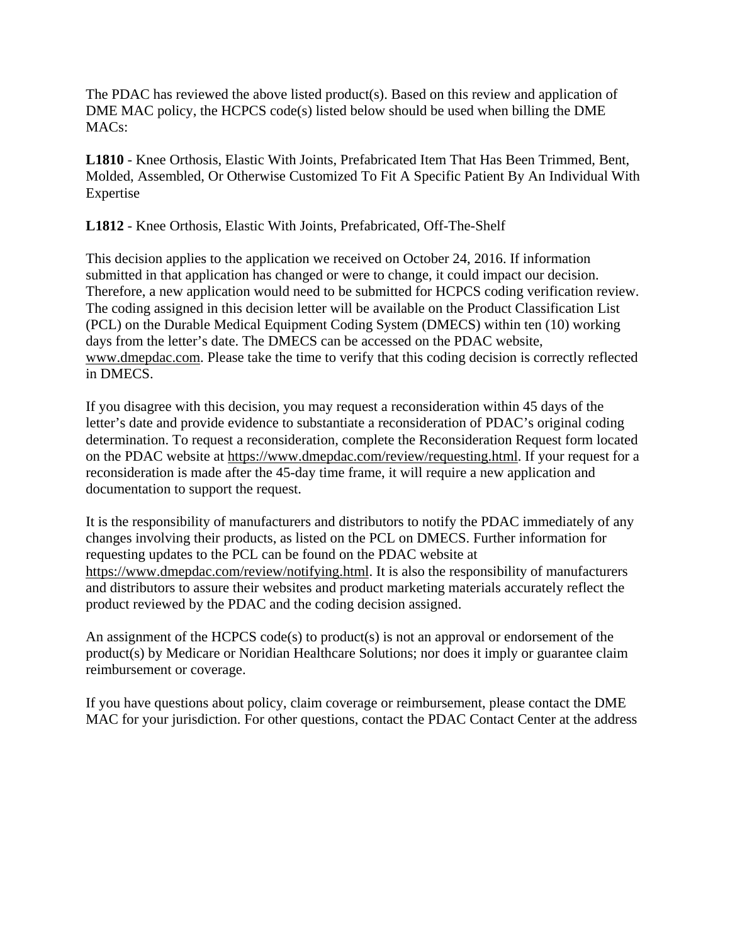The PDAC has reviewed the above listed product(s). Based on this review and application of DME MAC policy, the HCPCS code(s) listed below should be used when billing the DME MACs:

**L1810** - Knee Orthosis, Elastic With Joints, Prefabricated Item That Has Been Trimmed, Bent, Molded, Assembled, Or Otherwise Customized To Fit A Specific Patient By An Individual With Expertise

**L1812** - Knee Orthosis, Elastic With Joints, Prefabricated, Off-The-Shelf

This decision applies to the application we received on October 24, 2016. If information submitted in that application has changed or were to change, it could impact our decision. Therefore, a new application would need to be submitted for HCPCS coding verification review. The coding assigned in this decision letter will be available on the Product Classification List (PCL) on the Durable Medical Equipment Coding System (DMECS) within ten (10) working days from the letter's date. The DMECS can be accessed on the PDAC website, www.dmepdac.com. Please take the time to verify that this coding decision is correctly reflected in DMECS.

If you disagree with this decision, you may request a reconsideration within 45 days of the letter's date and provide evidence to substantiate a reconsideration of PDAC's original coding determination. To request a reconsideration, complete the Reconsideration Request form located on the PDAC website at https://www.dmepdac.com/review/requesting.html. If your request for a reconsideration is made after the 45-day time frame, it will require a new application and documentation to support the request.

It is the responsibility of manufacturers and distributors to notify the PDAC immediately of any changes involving their products, as listed on the PCL on DMECS. Further information for requesting updates to the PCL can be found on the PDAC website at https://www.dmepdac.com/review/notifying.html. It is also the responsibility of manufacturers and distributors to assure their websites and product marketing materials accurately reflect the product reviewed by the PDAC and the coding decision assigned.

An assignment of the HCPCS code(s) to product(s) is not an approval or endorsement of the product(s) by Medicare or Noridian Healthcare Solutions; nor does it imply or guarantee claim reimbursement or coverage.

If you have questions about policy, claim coverage or reimbursement, please contact the DME MAC for your jurisdiction. For other questions, contact the PDAC Contact Center at the address